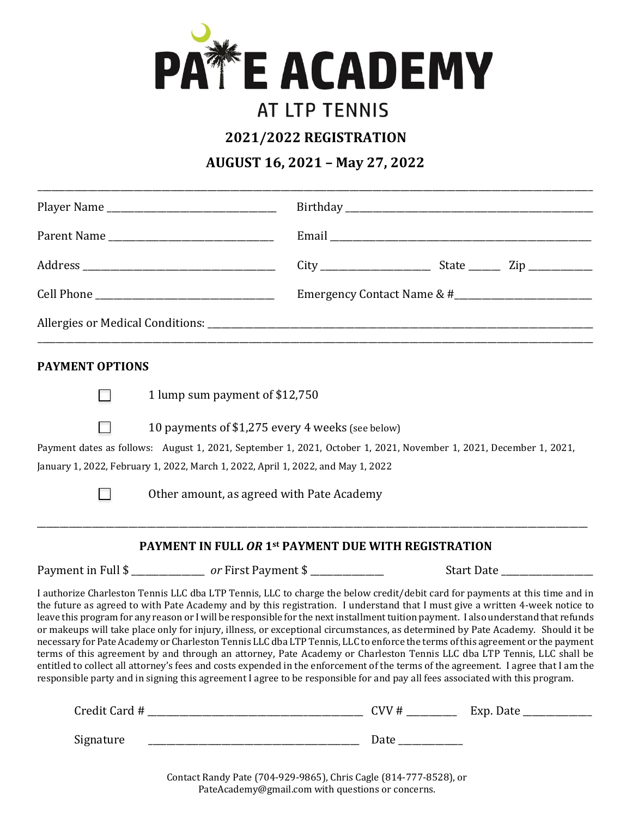

## **AT LTP TENNIS**

**2021/2022 REGISTRATION** 

**AUGUST 16, 2021 – May 27, 2022**

| Player Name            |                                                                                                                                                                                                                                                                                                                                                                                                                                                                                                                                                                                                                                                                                                                                                                                                                                                                                                                                                                                                                                                                        |  |                            |  |  |  |
|------------------------|------------------------------------------------------------------------------------------------------------------------------------------------------------------------------------------------------------------------------------------------------------------------------------------------------------------------------------------------------------------------------------------------------------------------------------------------------------------------------------------------------------------------------------------------------------------------------------------------------------------------------------------------------------------------------------------------------------------------------------------------------------------------------------------------------------------------------------------------------------------------------------------------------------------------------------------------------------------------------------------------------------------------------------------------------------------------|--|----------------------------|--|--|--|
|                        |                                                                                                                                                                                                                                                                                                                                                                                                                                                                                                                                                                                                                                                                                                                                                                                                                                                                                                                                                                                                                                                                        |  |                            |  |  |  |
|                        |                                                                                                                                                                                                                                                                                                                                                                                                                                                                                                                                                                                                                                                                                                                                                                                                                                                                                                                                                                                                                                                                        |  |                            |  |  |  |
|                        |                                                                                                                                                                                                                                                                                                                                                                                                                                                                                                                                                                                                                                                                                                                                                                                                                                                                                                                                                                                                                                                                        |  | Emergency Contact Name & # |  |  |  |
|                        |                                                                                                                                                                                                                                                                                                                                                                                                                                                                                                                                                                                                                                                                                                                                                                                                                                                                                                                                                                                                                                                                        |  |                            |  |  |  |
| <b>PAYMENT OPTIONS</b> |                                                                                                                                                                                                                                                                                                                                                                                                                                                                                                                                                                                                                                                                                                                                                                                                                                                                                                                                                                                                                                                                        |  |                            |  |  |  |
|                        | 1 lump sum payment of \$12,750                                                                                                                                                                                                                                                                                                                                                                                                                                                                                                                                                                                                                                                                                                                                                                                                                                                                                                                                                                                                                                         |  |                            |  |  |  |
|                        | 10 payments of \$1,275 every 4 weeks (see below)<br>Payment dates as follows: August 1, 2021, September 1, 2021, October 1, 2021, November 1, 2021, December 1, 2021,                                                                                                                                                                                                                                                                                                                                                                                                                                                                                                                                                                                                                                                                                                                                                                                                                                                                                                  |  |                            |  |  |  |
|                        | January 1, 2022, February 1, 2022, March 1, 2022, April 1, 2022, and May 1, 2022<br>Other amount, as agreed with Pate Academy                                                                                                                                                                                                                                                                                                                                                                                                                                                                                                                                                                                                                                                                                                                                                                                                                                                                                                                                          |  |                            |  |  |  |
|                        | <b>PAYMENT IN FULL OR 1st PAYMENT DUE WITH REGISTRATION</b>                                                                                                                                                                                                                                                                                                                                                                                                                                                                                                                                                                                                                                                                                                                                                                                                                                                                                                                                                                                                            |  |                            |  |  |  |
|                        | Payment in Full \$ ________________ or First Payment \$ ____________                                                                                                                                                                                                                                                                                                                                                                                                                                                                                                                                                                                                                                                                                                                                                                                                                                                                                                                                                                                                   |  |                            |  |  |  |
|                        | I authorize Charleston Tennis LLC dba LTP Tennis, LLC to charge the below credit/debit card for payments at this time and in<br>the future as agreed to with Pate Academy and by this registration. I understand that I must give a written 4-week notice to<br>leave this program for any reason or I will be responsible for the next installment tuition payment. I also understand that refunds<br>or makeups will take place only for injury, illness, or exceptional circumstances, as determined by Pate Academy. Should it be<br>necessary for Pate Academy or Charleston Tennis LLC dba LTP Tennis, LLC to enforce the terms of this agreement or the payment<br>terms of this agreement by and through an attorney, Pate Academy or Charleston Tennis LLC dba LTP Tennis, LLC shall be<br>entitled to collect all attorney's fees and costs expended in the enforcement of the terms of the agreement. I agree that I am the<br>responsible party and in signing this agreement I agree to be responsible for and pay all fees associated with this program. |  |                            |  |  |  |
|                        |                                                                                                                                                                                                                                                                                                                                                                                                                                                                                                                                                                                                                                                                                                                                                                                                                                                                                                                                                                                                                                                                        |  |                            |  |  |  |
| Signature              |                                                                                                                                                                                                                                                                                                                                                                                                                                                                                                                                                                                                                                                                                                                                                                                                                                                                                                                                                                                                                                                                        |  |                            |  |  |  |

Contact Randy Pate (704-929-9865), Chris Cagle (814-777-8528), or PateAcademy@gmail.com with questions or concerns.